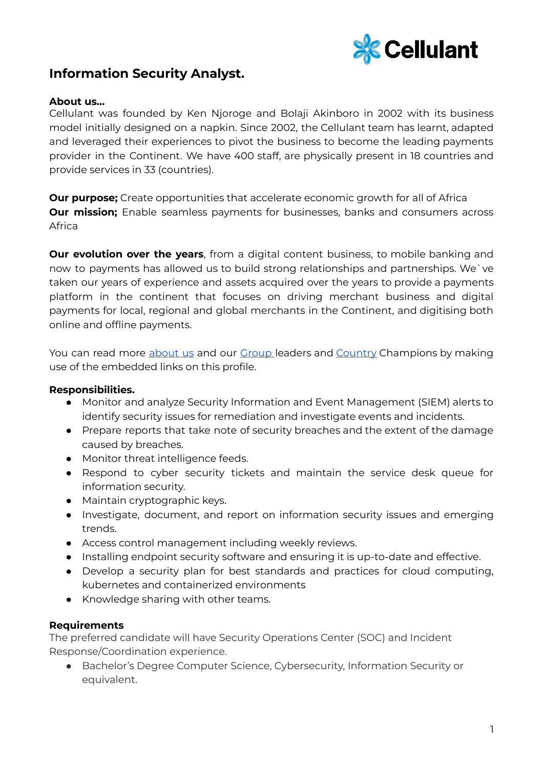

## **Information Security Analyst.**

## **About us…**

Cellulant was founded by Ken Njoroge and Bolaji Akinboro in 2002 with its business model initially designed on a napkin. Since 2002, the Cellulant team has learnt, adapted and leveraged their experiences to pivot the business to become the leading payments provider in the Continent. We have 400 staff, are physically present in 18 countries and provide services in 33 (countries).

**Our purpose;** Create opportunities that accelerate economic growth for all of Africa **Our mission;** Enable seamless payments for businesses, banks and consumers across Africa

**Our evolution over the years**, from a digital content business, to mobile banking and now to payments has allowed us to build strong relationships and partnerships. We`ve taken our years of experience and assets acquired over the years to provide a payments platform in the continent that focuses on driving merchant business and digital payments for local, regional and global merchants in the Continent, and digitising both online and offline payments.

You can read more [about](https://cellulant.io/) us and our [Group](https://cellulant.io/our-people/) leaders and [Country](https://cellulant.io/our-people/) Champions by making use of the embedded links on this profile.

## **Responsibilities.**

- Monitor and analyze Security Information and Event Management (SIEM) alerts to identify security issues for remediation and investigate events and incidents.
- Prepare reports that take note of security breaches and the extent of the damage caused by breaches.
- Monitor threat intelligence feeds.
- Respond to cyber security tickets and maintain the service desk queue for information security.
- Maintain cryptographic keys.
- Investigate, document, and report on information security issues and emerging trends.
- Access control management including weekly reviews.
- Installing endpoint security software and ensuring it is up-to-date and effective.
- Develop a security plan for best standards and practices for cloud computing, kubernetes and containerized environments
- Knowledge sharing with other teams.

## **Requirements**

The preferred candidate will have Security Operations Center (SOC) and Incident Response/Coordination experience.

● Bachelor's Degree Computer Science, Cybersecurity, Information Security or equivalent.